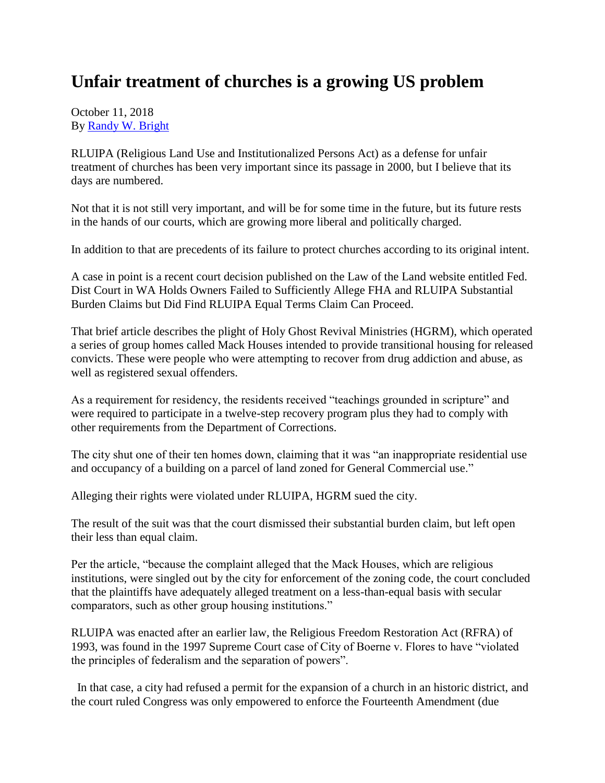## **Unfair treatment of churches is a growing US problem**

October 11, 2018 By [Randy W. Bright](http://www.tulsabeacon.com/author/slug-o6yd1v)

RLUIPA (Religious Land Use and Institutionalized Persons Act) as a defense for unfair treatment of churches has been very important since its passage in 2000, but I believe that its days are numbered.

Not that it is not still very important, and will be for some time in the future, but its future rests in the hands of our courts, which are growing more liberal and politically charged.

In addition to that are precedents of its failure to protect churches according to its original intent.

A case in point is a recent court decision published on the Law of the Land website entitled Fed. Dist Court in WA Holds Owners Failed to Sufficiently Allege FHA and RLUIPA Substantial Burden Claims but Did Find RLUIPA Equal Terms Claim Can Proceed.

That brief article describes the plight of Holy Ghost Revival Ministries (HGRM), which operated a series of group homes called Mack Houses intended to provide transitional housing for released convicts. These were people who were attempting to recover from drug addiction and abuse, as well as registered sexual offenders.

As a requirement for residency, the residents received "teachings grounded in scripture" and were required to participate in a twelve-step recovery program plus they had to comply with other requirements from the Department of Corrections.

The city shut one of their ten homes down, claiming that it was "an inappropriate residential use and occupancy of a building on a parcel of land zoned for General Commercial use."

Alleging their rights were violated under RLUIPA, HGRM sued the city.

The result of the suit was that the court dismissed their substantial burden claim, but left open their less than equal claim.

Per the article, "because the complaint alleged that the Mack Houses, which are religious institutions, were singled out by the city for enforcement of the zoning code, the court concluded that the plaintiffs have adequately alleged treatment on a less-than-equal basis with secular comparators, such as other group housing institutions."

RLUIPA was enacted after an earlier law, the Religious Freedom Restoration Act (RFRA) of 1993, was found in the 1997 Supreme Court case of City of Boerne v. Flores to have "violated the principles of federalism and the separation of powers".

In that case, a city had refused a permit for the expansion of a church in an historic district, and the court ruled Congress was only empowered to enforce the Fourteenth Amendment (due